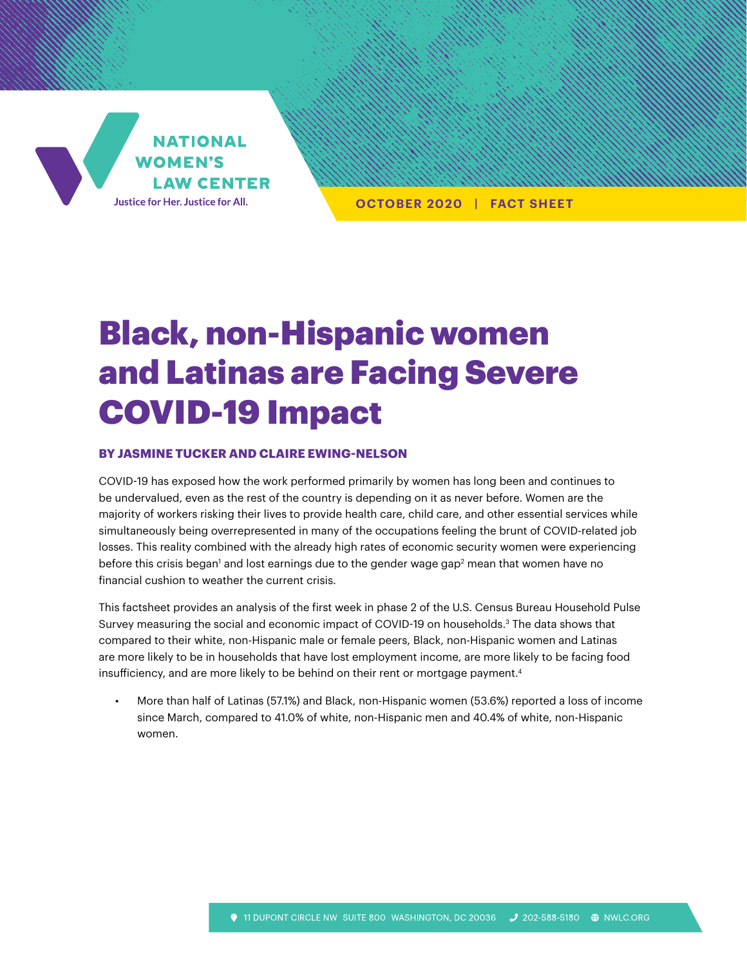

**OCTOBER 2020 | FACT SHEET**

## Black, non-Hispanic women and Latinas are Facing Severe COVID-19 Impact

## **BY JASMINE TUCKER AND CLAIRE EWING-NELSON**

COVID-19 has exposed how the work performed primarily by women has long been and continues to be undervalued, even as the rest of the country is depending on it as never before. Women are the majority of workers risking their lives to provide health care, child care, and other essential services while simultaneously being overrepresented in many of the occupations feeling the brunt of COVID-related job losses. This reality combined with the already high rates of economic security women were experiencing before this crisis began' and lost earnings due to the gender wage gap $^{\rm 2}$  mean that women have no financial cushion to weather the current crisis.

This factsheet provides an analysis of the first week in phase 2 of the U.S. Census Bureau Household Pulse Survey measuring the social and economic impact of COVID-19 on households.3 The data shows that compared to their white, non-Hispanic male or female peers, Black, non-Hispanic women and Latinas are more likely to be in households that have lost employment income, are more likely to be facing food insufficiency, and are more likely to be behind on their rent or mortgage payment.<sup>4</sup>

• More than half of Latinas (57.1%) and Black, non-Hispanic women (53.6%) reported a loss of income since March, compared to 41.0% of white, non-Hispanic men and 40.4% of white, non-Hispanic women.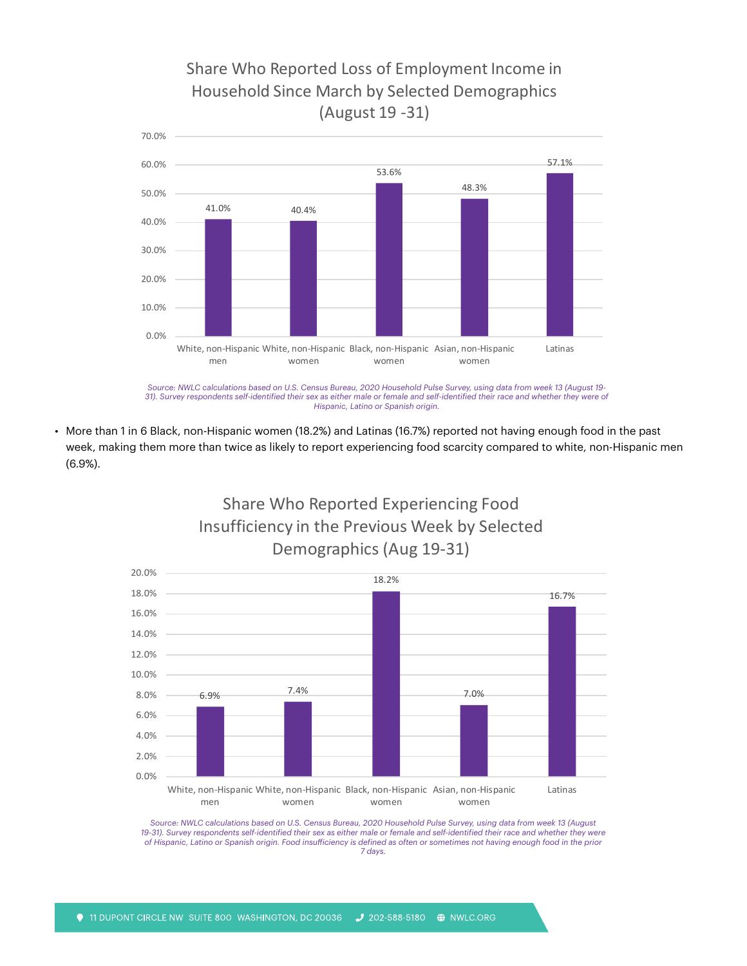## Share Who Reported Loss of Employment Income in Household Since March by Selected Demographics (August 19 -31)



*Source: NWLC calculations based on U.S. Census Bureau, 2020 Household Pulse Survey, using data from week 13 (August 19- 31). Survey respondents self-identified their sex as either male or female and self-identified their race and whether they were of Hispanic, Latino or Spanish origin.*

• More than 1 in 6 Black, non-Hispanic women (18.2%) and Latinas (16.7%) reported not having enough food in the past week, making them more than twice as likely to report experiencing food scarcity compared to white, non-Hispanic men (6.9%).

Share Who Reported Experiencing Food



*Source: NWLC calculations based on U.S. Census Bureau, 2020 Household Pulse Survey, using data from week 13 (August 19-31). Survey respondents self-identified their sex as either male or female and self-identified their race and whether they were of Hispanic, Latino or Spanish origin. Food insufficiency is defined as often or sometimes not having enough food in the prior 7 days.*